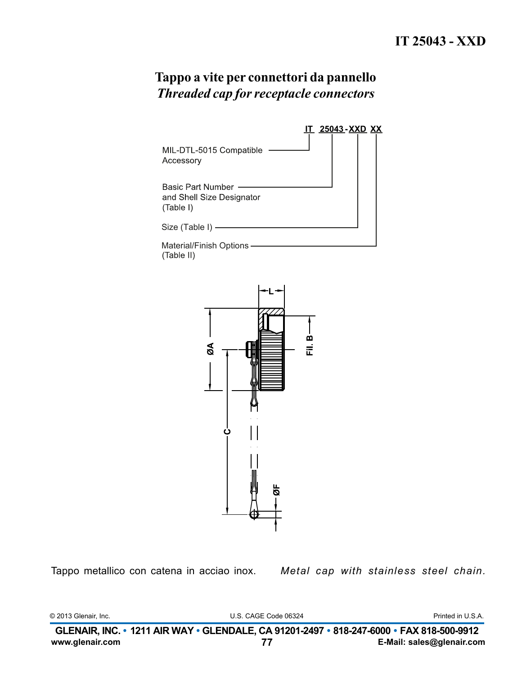|                                                             | <u>IT 25043-XXD XX</u> |  |
|-------------------------------------------------------------|------------------------|--|
| MIL-DTL-5015 Compatible<br>Accessory                        |                        |  |
| Basic Part Number<br>and Shell Size Designator<br>(Table I) |                        |  |
| Size (Table I)                                              |                        |  |
| <b>Material/Finish Options</b>                              |                        |  |

(Table II)



Tappo metallico con catena in acciao inox.

Metal cap with stainless steel chain.

© 2013 Glenair, Inc.

U.S. CAGE Code 06324

Printed in U.S.A.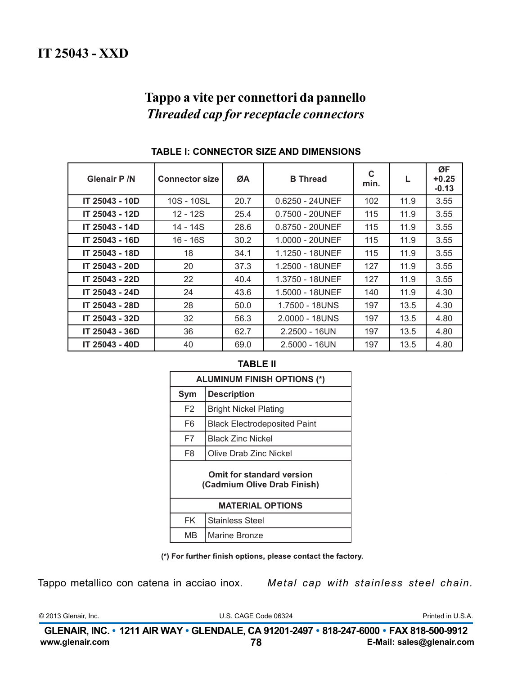| <b>Glenair P /N</b> | <b>Connector size</b> | ØA   | <b>B</b> Thread    | C<br>min. |      | ØF<br>$+0.25$<br>$-0.13$ |
|---------------------|-----------------------|------|--------------------|-----------|------|--------------------------|
| IT 25043 - 10D      | 10S - 10SL            | 20.7 | $0.6250 - 24$ UNEF | 102       | 11.9 | 3.55                     |
| IT 25043 - 12D      | 12 - 12S              | 25.4 | 0.7500 - 20UNEF    | 115       | 11.9 | 3.55                     |
| IT 25043 - 14D      | 14 - 14S              | 28.6 | $0.8750 - 20$ UNEF | 115       | 11.9 | 3.55                     |
| IT 25043 - 16D      | 16 - 16S              | 30.2 | 1.0000 - 20UNEF    | 115       | 11.9 | 3.55                     |
| IT 25043 - 18D      | 18                    | 34.1 | 1.1250 - 18UNEF    | 115       | 11.9 | 3.55                     |
| IT 25043 - 20D      | 20                    | 37.3 | 1.2500 - 18UNEF    | 127       | 11.9 | 3.55                     |
| IT 25043 - 22D      | 22                    | 40.4 | 1.3750 - 18UNEF    | 127       | 11.9 | 3.55                     |
| IT 25043 - 24D      | 24                    | 43.6 | 1.5000 - 18UNEF    | 140       | 11.9 | 4.30                     |
| IT 25043 - 28D      | 28                    | 50.0 | 1.7500 - 18UNS     | 197       | 13.5 | 4.30                     |
| IT 25043 - 32D      | 32                    | 56.3 | 2.0000 - 18UNS     | 197       | 13.5 | 4.80                     |
| IT 25043 - 36D      | 36                    | 62.7 | $2.2500 - 16UN$    | 197       | 13.5 | 4.80                     |
| IT 25043 - 40D      | 40                    | 69.0 | $2.5000 - 16UN$    | 197       | 13.5 | 4.80                     |

### TABLE I: CONNECTOR SIZE AND DIMENSIONS

### **TABLE II**

| <b>ALUMINUM FINISH OPTIONS (*)</b>                       |                                     |  |  |
|----------------------------------------------------------|-------------------------------------|--|--|
| Sym                                                      | <b>Description</b>                  |  |  |
| F <sub>2</sub>                                           | <b>Bright Nickel Plating</b>        |  |  |
| F6                                                       | <b>Black Electrodeposited Paint</b> |  |  |
| F7                                                       | <b>Black Zinc Nickel</b>            |  |  |
| F8                                                       | <b>Olive Drab Zinc Nickel</b>       |  |  |
| Omit for standard version<br>(Cadmium Olive Drab Finish) |                                     |  |  |
| <b>MATERIAL OPTIONS</b>                                  |                                     |  |  |
| <b>FK</b>                                                | <b>Stainless Steel</b>              |  |  |
| MВ                                                       | Marine Bronze                       |  |  |

(\*) For further finish options, please contact the factory.

Tappo metallico con catena in acciao inox.

Metal cap with stainless steel chain.

© 2013 Glenair, Inc.

U.S. CAGE Code 06324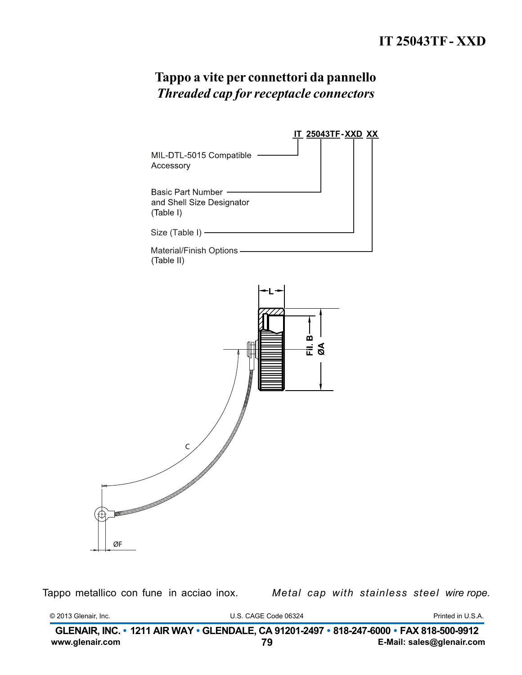

Tappo metallico con fune in acciao inox.

Metal cap with stainless steel wire rope.

© 2013 Glenair, Inc.

U.S. CAGE Code 06324